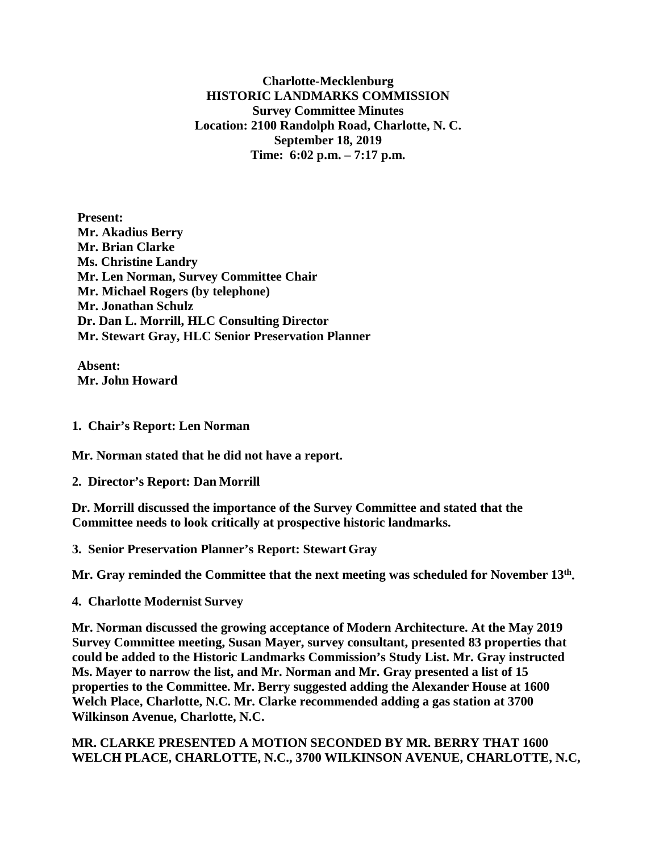**Charlotte-Mecklenburg HISTORIC LANDMARKS COMMISSION Survey Committee Minutes Location: 2100 Randolph Road, Charlotte, N. C. September 18, 2019 Time: 6:02 p.m. – 7:17 p.m.**

**Present: Mr. Akadius Berry Mr. Brian Clarke Ms. Christine Landry Mr. Len Norman, Survey Committee Chair Mr. Michael Rogers (by telephone) Mr. Jonathan Schulz Dr. Dan L. Morrill, HLC Consulting Director Mr. Stewart Gray, HLC Senior Preservation Planner** 

**Absent: Mr. John Howard**

**1. Chair's Report: Len Norman**

**Mr. Norman stated that he did not have a report.**

**2. Director's Report: Dan Morrill**

**Dr. Morrill discussed the importance of the Survey Committee and stated that the Committee needs to look critically at prospective historic landmarks.**

**3. Senior Preservation Planner's Report: Stewart Gray**

**Mr. Gray reminded the Committee that the next meeting was scheduled for November 13th.**

**4. Charlotte Modernist Survey**

**Mr. Norman discussed the growing acceptance of Modern Architecture. At the May 2019 Survey Committee meeting, Susan Mayer, survey consultant, presented 83 properties that could be added to the Historic Landmarks Commission's Study List. Mr. Gray instructed Ms. Mayer to narrow the list, and Mr. Norman and Mr. Gray presented a list of 15 properties to the Committee. Mr. Berry suggested adding the Alexander House at 1600 Welch Place, Charlotte, N.C. Mr. Clarke recommended adding a gas station at 3700 Wilkinson Avenue, Charlotte, N.C.** 

## **MR. CLARKE PRESENTED A MOTION SECONDED BY MR. BERRY THAT 1600 WELCH PLACE, CHARLOTTE, N.C., 3700 WILKINSON AVENUE, CHARLOTTE, N.C,**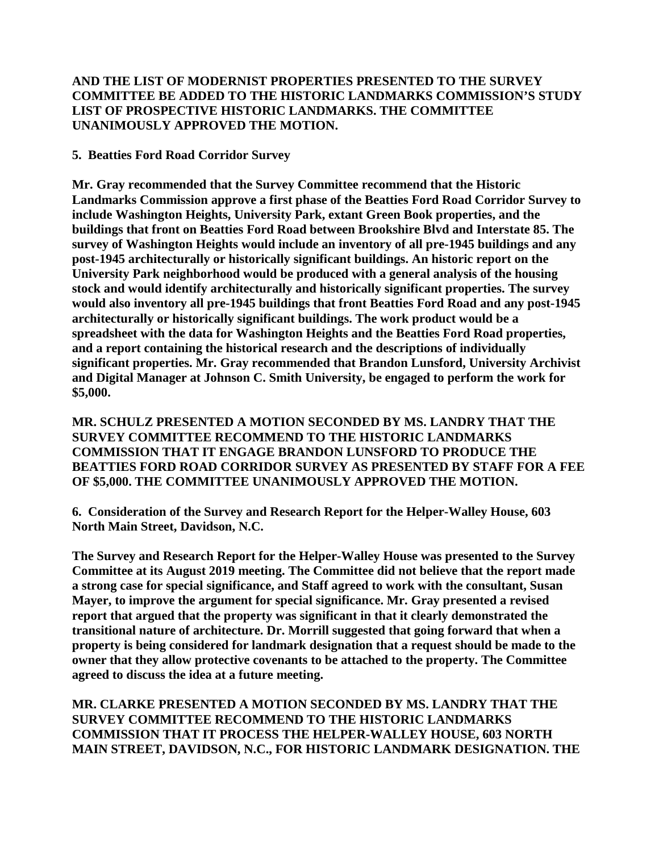## **AND THE LIST OF MODERNIST PROPERTIES PRESENTED TO THE SURVEY COMMITTEE BE ADDED TO THE HISTORIC LANDMARKS COMMISSION'S STUDY LIST OF PROSPECTIVE HISTORIC LANDMARKS. THE COMMITTEE UNANIMOUSLY APPROVED THE MOTION.**

## **5. Beatties Ford Road Corridor Survey**

**Mr. Gray recommended that the Survey Committee recommend that the Historic Landmarks Commission approve a first phase of the Beatties Ford Road Corridor Survey to include Washington Heights, University Park, extant Green Book properties, and the buildings that front on Beatties Ford Road between Brookshire Blvd and Interstate 85. The survey of Washington Heights would include an inventory of all pre-1945 buildings and any post-1945 architecturally or historically significant buildings. An historic report on the University Park neighborhood would be produced with a general analysis of the housing stock and would identify architecturally and historically significant properties. The survey would also inventory all pre-1945 buildings that front Beatties Ford Road and any post-1945 architecturally or historically significant buildings. The work product would be a spreadsheet with the data for Washington Heights and the Beatties Ford Road properties, and a report containing the historical research and the descriptions of individually significant properties. Mr. Gray recommended that Brandon Lunsford, University Archivist and Digital Manager at Johnson C. Smith University, be engaged to perform the work for \$5,000.** 

**MR. SCHULZ PRESENTED A MOTION SECONDED BY MS. LANDRY THAT THE SURVEY COMMITTEE RECOMMEND TO THE HISTORIC LANDMARKS COMMISSION THAT IT ENGAGE BRANDON LUNSFORD TO PRODUCE THE BEATTIES FORD ROAD CORRIDOR SURVEY AS PRESENTED BY STAFF FOR A FEE OF \$5,000. THE COMMITTEE UNANIMOUSLY APPROVED THE MOTION.** 

**6. Consideration of the Survey and Research Report for the Helper-Walley House, 603 North Main Street, Davidson, N.C.**

**The Survey and Research Report for the Helper-Walley House was presented to the Survey Committee at its August 2019 meeting. The Committee did not believe that the report made a strong case for special significance, and Staff agreed to work with the consultant, Susan Mayer, to improve the argument for special significance. Mr. Gray presented a revised report that argued that the property was significant in that it clearly demonstrated the transitional nature of architecture. Dr. Morrill suggested that going forward that when a property is being considered for landmark designation that a request should be made to the owner that they allow protective covenants to be attached to the property. The Committee agreed to discuss the idea at a future meeting.** 

**MR. CLARKE PRESENTED A MOTION SECONDED BY MS. LANDRY THAT THE SURVEY COMMITTEE RECOMMEND TO THE HISTORIC LANDMARKS COMMISSION THAT IT PROCESS THE HELPER-WALLEY HOUSE, 603 NORTH MAIN STREET, DAVIDSON, N.C., FOR HISTORIC LANDMARK DESIGNATION. THE**